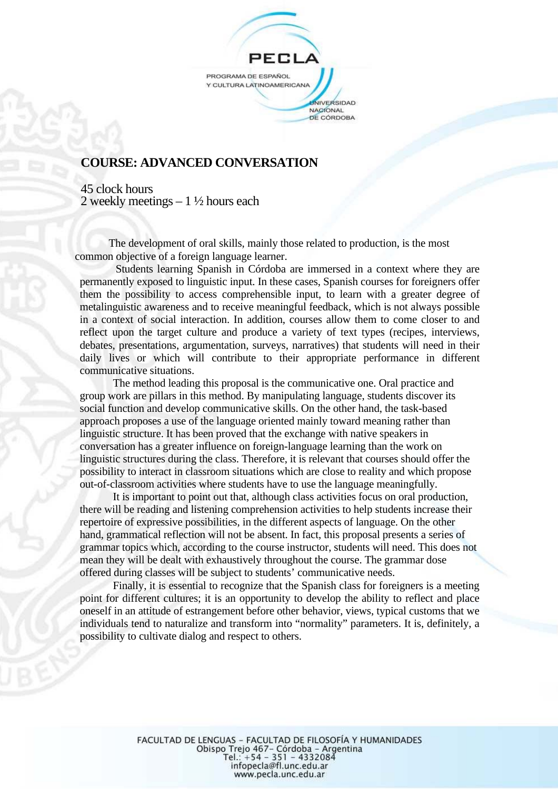

## **COURSE: ADVANCED CONVERSATION**

 45 clock hours 2 weekly meetings – 1 ½ hours each

The development of oral skills, mainly those related to production, is the most common objective of a foreign language learner.

 Students learning Spanish in Córdoba are immersed in a context where they are permanently exposed to linguistic input. In these cases, Spanish courses for foreigners offer them the possibility to access comprehensible input, to learn with a greater degree of metalinguistic awareness and to receive meaningful feedback, which is not always possible in a context of social interaction. In addition, courses allow them to come closer to and reflect upon the target culture and produce a variety of text types (recipes, interviews, debates, presentations, argumentation, surveys, narratives) that students will need in their daily lives or which will contribute to their appropriate performance in different communicative situations.

The method leading this proposal is the communicative one. Oral practice and group work are pillars in this method. By manipulating language, students discover its social function and develop communicative skills. On the other hand, the task-based approach proposes a use of the language oriented mainly toward meaning rather than linguistic structure. It has been proved that the exchange with native speakers in conversation has a greater influence on foreign-language learning than the work on linguistic structures during the class. Therefore, it is relevant that courses should offer the possibility to interact in classroom situations which are close to reality and which propose out-of-classroom activities where students have to use the language meaningfully.

It is important to point out that, although class activities focus on oral production, there will be reading and listening comprehension activities to help students increase their repertoire of expressive possibilities, in the different aspects of language. On the other hand, grammatical reflection will not be absent. In fact, this proposal presents a series of grammar topics which, according to the course instructor, students will need. This does not mean they will be dealt with exhaustively throughout the course. The grammar dose offered during classes will be subject to students' communicative needs.

Finally, it is essential to recognize that the Spanish class for foreigners is a meeting point for different cultures; it is an opportunity to develop the ability to reflect and place oneself in an attitude of estrangement before other behavior, views, typical customs that we individuals tend to naturalize and transform into "normality" parameters. It is, definitely, a possibility to cultivate dialog and respect to others.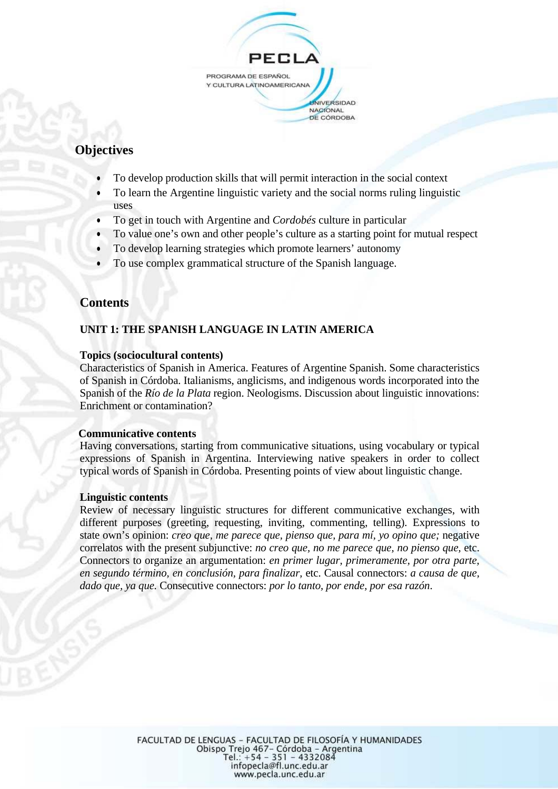

# **Objectives**

- To develop production skills that will permit interaction in the social context
- To learn the Argentine linguistic variety and the social norms ruling linguistic uses
- To get in touch with Argentine and *Cordobés* culture in particular
- To value one's own and other people's culture as a starting point for mutual respect
- To develop learning strategies which promote learners' autonomy
- To use complex grammatical structure of the Spanish language.

## **Contents**

## **UNIT 1: THE SPANISH LANGUAGE IN LATIN AMERICA**

#### **Topics (sociocultural contents)**

Characteristics of Spanish in America. Features of Argentine Spanish. Some characteristics of Spanish in Córdoba. Italianisms, anglicisms, and indigenous words incorporated into the Spanish of the *Río de la Plata* region. Neologisms. Discussion about linguistic innovations: Enrichment or contamination?

#### **Communicative contents**

Having conversations, starting from communicative situations, using vocabulary or typical expressions of Spanish in Argentina. Interviewing native speakers in order to collect typical words of Spanish in Córdoba. Presenting points of view about linguistic change.

#### **Linguistic contents**

Review of necessary linguistic structures for different communicative exchanges, with different purposes (greeting, requesting, inviting, commenting, telling). Expressions to state own's opinion: *creo que, me parece que, pienso que, para mí, yo opino que;* negative correlatos with the present subjunctive: *no creo que, no me parece que, no pienso que,* etc. Connectors to organize an argumentation: *en primer lugar, primeramente, por otra parte, en segundo término, en conclusión, para finalizar,* etc. Causal connectors: *a causa de que, dado que, ya que.* Consecutive connectors: *por lo tanto, por ende, por esa razón*.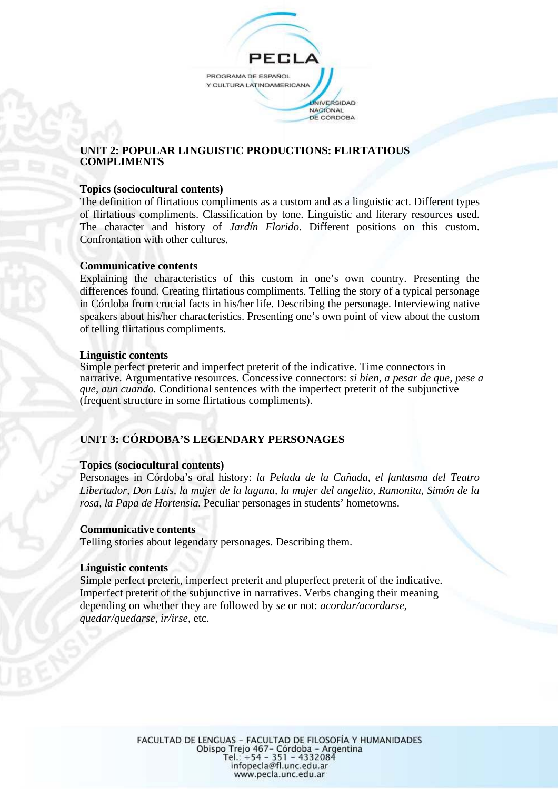

## **UNIT 2: POPULAR LINGUISTIC PRODUCTIONS: FLIRTATIOUS COMPLIMENTS**

#### **Topics (sociocultural contents)**

The definition of flirtatious compliments as a custom and as a linguistic act. Different types of flirtatious compliments. Classification by tone. Linguistic and literary resources used. The character and history of *Jardín Florido*. Different positions on this custom. Confrontation with other cultures.

#### **Communicative contents**

Explaining the characteristics of this custom in one's own country. Presenting the differences found. Creating flirtatious compliments. Telling the story of a typical personage in Córdoba from crucial facts in his/her life. Describing the personage. Interviewing native speakers about his/her characteristics. Presenting one's own point of view about the custom of telling flirtatious compliments.

#### **Linguistic contents**

Simple perfect preterit and imperfect preterit of the indicative. Time connectors in narrative. Argumentative resources. Concessive connectors: *si bien, a pesar de que, pese a que, aun cuando.* Conditional sentences with the imperfect preterit of the subjunctive (frequent structure in some flirtatious compliments).

## **UNIT 3: CÓRDOBA'S LEGENDARY PERSONAGES**

## **Topics (sociocultural contents)**

Personages in Córdoba's oral history: *la Pelada de la Cañada, el fantasma del Teatro Libertador, Don Luis, la mujer de la laguna, la mujer del angelito, Ramonita, Simón de la rosa, la Papa de Hortensia.* Peculiar personages in students' hometowns.

#### **Communicative contents**

Telling stories about legendary personages. Describing them.

#### **Linguistic contents**

Simple perfect preterit, imperfect preterit and pluperfect preterit of the indicative. Imperfect preterit of the subjunctive in narratives. Verbs changing their meaning depending on whether they are followed by *se* or not: *acordar/acordarse, quedar/quedarse, ir/irse*, etc.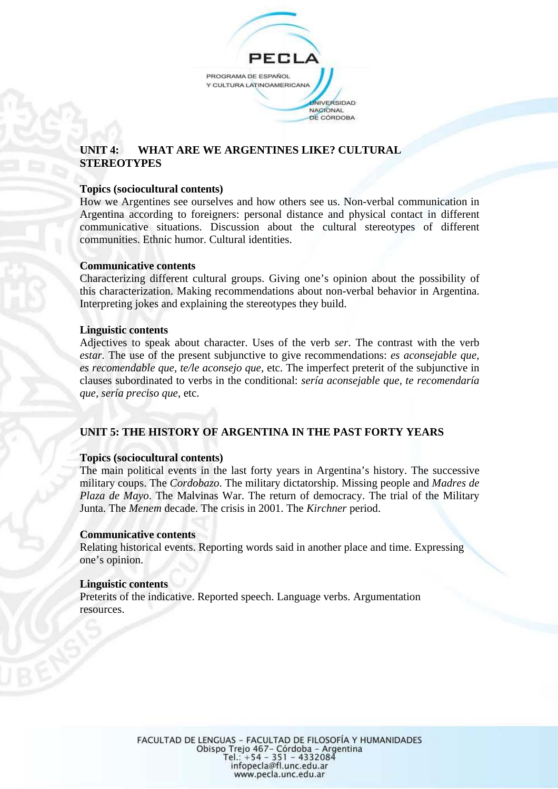

## **UNIT 4: WHAT ARE WE ARGENTINES LIKE? CULTURAL STEREOTYPES**

#### **Topics (sociocultural contents)**

How we Argentines see ourselves and how others see us. Non-verbal communication in Argentina according to foreigners: personal distance and physical contact in different communicative situations. Discussion about the cultural stereotypes of different communities. Ethnic humor. Cultural identities.

#### **Communicative contents**

Characterizing different cultural groups. Giving one's opinion about the possibility of this characterization. Making recommendations about non-verbal behavior in Argentina. Interpreting jokes and explaining the stereotypes they build.

#### **Linguistic contents**

Adjectives to speak about character. Uses of the verb *ser*. The contrast with the verb *estar.* The use of the present subjunctive to give recommendations: *es aconsejable que, es recomendable que, te/le aconsejo que,* etc. The imperfect preterit of the subjunctive in clauses subordinated to verbs in the conditional: *sería aconsejable que, te recomendaría que, sería preciso que*, etc.

## **UNIT 5: THE HISTORY OF ARGENTINA IN THE PAST FORTY YEARS**

#### **Topics (sociocultural contents)**

The main political events in the last forty years in Argentina's history. The successive military coups. The *Cordobazo*. The military dictatorship. Missing people and *Madres de Plaza de Mayo*. The Malvinas War. The return of democracy. The trial of the Military Junta. The *Menem* decade. The crisis in 2001. The *Kirchner* period.

#### **Communicative contents**

Relating historical events. Reporting words said in another place and time. Expressing one's opinion.

#### **Linguistic contents**

Preterits of the indicative. Reported speech. Language verbs. Argumentation resources.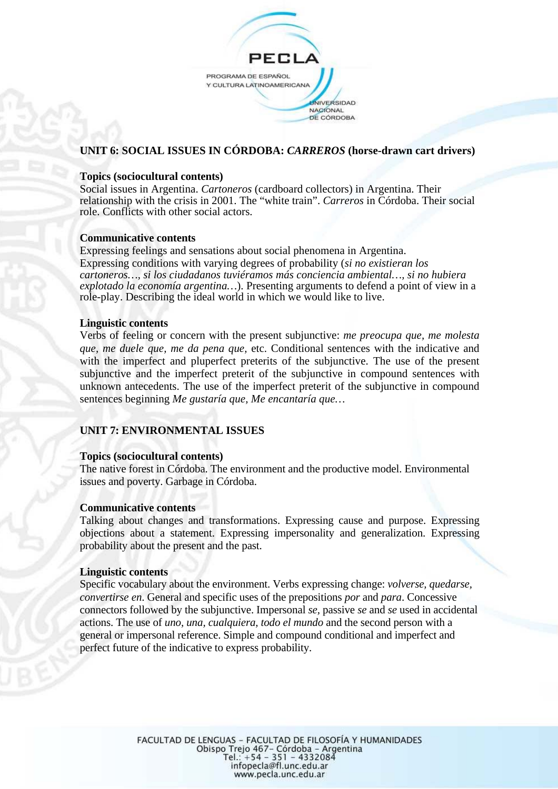

## **UNIT 6: SOCIAL ISSUES IN CÓRDOBA:** *CARREROS* **(horse-drawn cart drivers)**

#### **Topics (sociocultural contents)**

Social issues in Argentina. *Cartoneros* (cardboard collectors) in Argentina. Their relationship with the crisis in 2001. The "white train". *Carreros* in Córdoba. Their social role. Conflicts with other social actors.

#### **Communicative contents**

Expressing feelings and sensations about social phenomena in Argentina. Expressing conditions with varying degrees of probability (*si no existieran los cartoneros…, si los ciudadanos tuviéramos más conciencia ambiental…, si no hubiera explotado la economía argentina…*). Presenting arguments to defend a point of view in a role-play. Describing the ideal world in which we would like to live.

#### **Linguistic contents**

Verbs of feeling or concern with the present subjunctive: *me preocupa que, me molesta que, me duele que, me da pena que,* etc. Conditional sentences with the indicative and with the imperfect and pluperfect preterits of the subjunctive. The use of the present subjunctive and the imperfect preterit of the subjunctive in compound sentences with unknown antecedents. The use of the imperfect preterit of the subjunctive in compound sentences beginning *Me gustaría que, Me encantaría que…*

## **UNIT 7: ENVIRONMENTAL ISSUES**

#### **Topics (sociocultural contents)**

The native forest in Córdoba. The environment and the productive model. Environmental issues and poverty. Garbage in Córdoba.

#### **Communicative contents**

Talking about changes and transformations. Expressing cause and purpose. Expressing objections about a statement. Expressing impersonality and generalization. Expressing probability about the present and the past.

#### **Linguistic contents**

Specific vocabulary about the environment. Verbs expressing change: *volverse, quedarse, convertirse en*. General and specific uses of the prepositions *por* and *para*. Concessive connectors followed by the subjunctive. Impersonal *se,* passive *se* and *se* used in accidental actions. The use of *uno, una, cualquiera, todo el mundo* and the second person with a general or impersonal reference. Simple and compound conditional and imperfect and perfect future of the indicative to express probability.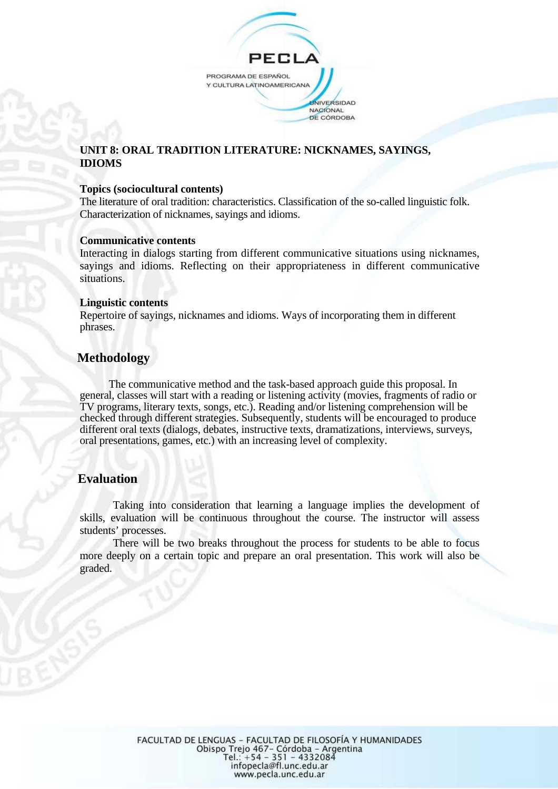

## **UNIT 8: ORAL TRADITION LITERATURE: NICKNAMES, SAYINGS, IDIOMS**

#### **Topics (sociocultural contents)**

The literature of oral tradition: characteristics. Classification of the so-called linguistic folk. Characterization of nicknames, sayings and idioms.

#### **Communicative contents**

Interacting in dialogs starting from different communicative situations using nicknames, sayings and idioms. Reflecting on their appropriateness in different communicative situations.

#### **Linguistic contents**

Repertoire of sayings, nicknames and idioms. Ways of incorporating them in different phrases.

## **Methodology**

The communicative method and the task-based approach guide this proposal. In general, classes will start with a reading or listening activity (movies, fragments of radio or TV programs, literary texts, songs, etc.). Reading and/or listening comprehension will be checked through different strategies. Subsequently, students will be encouraged to produce different oral texts (dialogs, debates, instructive texts, dramatizations, interviews, surveys, oral presentations, games, etc.) with an increasing level of complexity.

## **Evaluation**

Taking into consideration that learning a language implies the development of skills, evaluation will be continuous throughout the course. The instructor will assess students' processes.

There will be two breaks throughout the process for students to be able to focus more deeply on a certain topic and prepare an oral presentation. This work will also be graded.